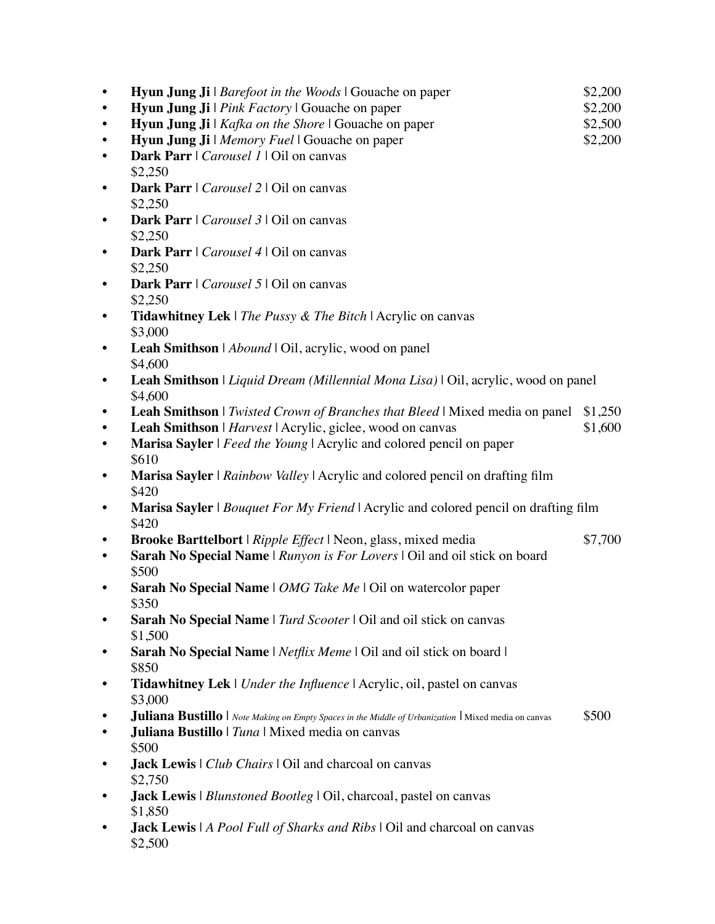|           | <b>Hyun Jung Ji</b>   <i>Barefoot in the Woods</i>   Gouache on paper                                                                           | \$2,200            |
|-----------|-------------------------------------------------------------------------------------------------------------------------------------------------|--------------------|
|           | Hyun Jung Ji   Pink Factory   Gouache on paper                                                                                                  | \$2,200            |
|           | Hyun Jung Ji   Kafka on the Shore   Gouache on paper                                                                                            | \$2,500            |
|           | Hyun Jung Ji   Memory Fuel   Gouache on paper                                                                                                   | \$2,200            |
|           | Dark Parr   Carousel 1   Oil on canvas<br>\$2,250                                                                                               |                    |
|           | Dark Parr   Carousel 2   Oil on canvas<br>\$2,250                                                                                               |                    |
|           | Dark Parr   Carousel 3   Oil on canvas<br>\$2,250                                                                                               |                    |
|           | Dark Parr   Carousel 4   Oil on canvas                                                                                                          |                    |
|           | \$2,250<br>Dark Parr   Carousel 5   Oil on canvas                                                                                               |                    |
|           | \$2,250<br><b>Tidawhitney Lek</b>   The Pussy & The Bitch   Acrylic on canvas                                                                   |                    |
|           | \$3,000<br>Leah Smithson   Abound   Oil, acrylic, wood on panel                                                                                 |                    |
|           | \$4,600<br>Leah Smithson   Liquid Dream (Millennial Mona Lisa)   Oil, acrylic, wood on panel                                                    |                    |
|           | \$4,600                                                                                                                                         |                    |
|           | <b>Leah Smithson</b>   Twisted Crown of Branches that Bleed   Mixed media on panel<br>Leah Smithson   Harvest   Acrylic, giclee, wood on canvas | \$1,250<br>\$1,600 |
|           | Marisa Sayler   Feed the Young   Acrylic and colored pencil on paper                                                                            |                    |
|           | \$610                                                                                                                                           |                    |
|           | Marisa Sayler   Rainbow Valley   Acrylic and colored pencil on drafting film<br>\$420                                                           |                    |
|           | <b>Marisa Sayler</b>   <i>Bouquet For My Friend</i>   Acrylic and colored pencil on drafting film<br>\$420                                      |                    |
|           | Brooke Barttelbort   Ripple Effect   Neon, glass, mixed media                                                                                   | \$7,700            |
| $\bullet$ | Sarah No Special Name   Runyon is For Lovers   Oil and oil stick on board<br>\$500                                                              |                    |
|           | Sarah No Special Name   OMG Take Me   Oil on watercolor paper<br>\$350.                                                                         |                    |
|           | Sarah No Special Name   Turd Scooter   Oil and oil stick on canvas<br>\$1,500                                                                   |                    |
|           | Sarah No Special Name   Netflix Meme   Oil and oil stick on board  <br>\$850                                                                    |                    |
|           | Tidawhitney Lek   Under the Influence   Acrylic, oil, pastel on canvas                                                                          |                    |
|           | \$3,000                                                                                                                                         |                    |
|           | <b>Juliana Bustillo</b>   Note Making on Empty Spaces in the Middle of Urbanization   Mixed media on canvas                                     | \$500              |
|           | Juliana Bustillo   Tuna   Mixed media on canvas<br>\$500                                                                                        |                    |
|           | <b>Jack Lewis</b>   Club Chairs   Oil and charcoal on canvas<br>\$2,750                                                                         |                    |
|           | <b>Jack Lewis</b>   Blunstoned Bootleg   Oil, charcoal, pastel on canvas<br>\$1,850                                                             |                    |
|           | <b>Jack Lewis</b>   A Pool Full of Sharks and Ribs   Oil and charcoal on canvas<br>\$2,500                                                      |                    |